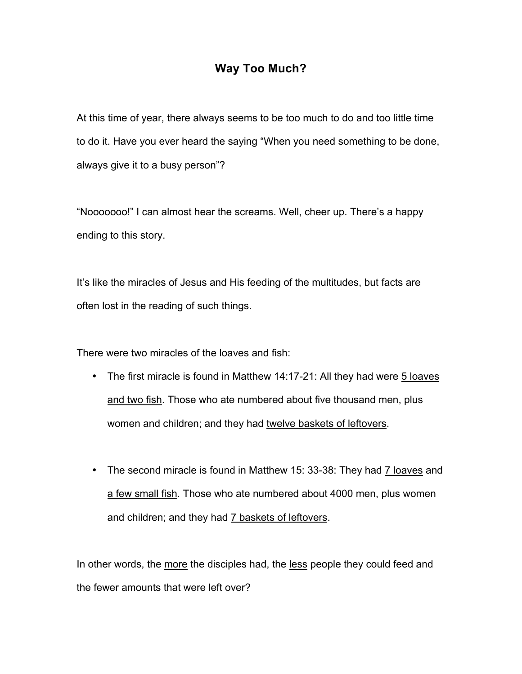## **Way Too Much?**

At this time of year, there always seems to be too much to do and too little time to do it. Have you ever heard the saying "When you need something to be done, always give it to a busy person"?

"Nooooooo!" I can almost hear the screams. Well, cheer up. There's a happy ending to this story.

It's like the miracles of Jesus and His feeding of the multitudes, but facts are often lost in the reading of such things.

There were two miracles of the loaves and fish:

- The first miracle is found in Matthew 14:17-21: All they had were 5 loaves and two fish. Those who ate numbered about five thousand men, plus women and children; and they had twelve baskets of leftovers.
- The second miracle is found in Matthew 15: 33-38: They had 7 loaves and a few small fish. Those who ate numbered about 4000 men, plus women and children; and they had 7 baskets of leftovers.

In other words, the more the disciples had, the less people they could feed and the fewer amounts that were left over?